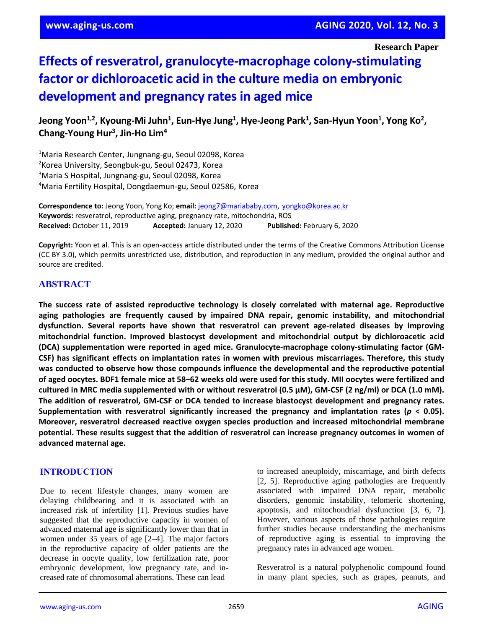**Research Paper**

# **Effects of resveratrol, granulocyte-macrophage colony-stimulating factor or dichloroacetic acid in the culture media on embryonic development and pregnancy rates in aged mice**

Jeong Yoon<sup>1,2</sup>, Kyoung-Mi Juhn<sup>1</sup>, Eun-Hye Jung<sup>1</sup>, Hye-Jeong Park<sup>1</sup>, San-Hyun Yoon<sup>1</sup>, Yong Ko<sup>2</sup>, **Chang-Young Hur<sup>3</sup> , Jin-Ho Lim<sup>4</sup>**

<sup>1</sup>Maria Research Center, Jungnang-gu, Seoul 02098, Korea <sup>2</sup> Korea University, Seongbuk-gu, Seoul 02473, Korea <sup>3</sup>Maria S Hospital, Jungnang-gu, Seoul 02098, Korea <sup>4</sup>Maria Fertility Hospital, Dongdaemun-gu, Seoul 02586, Korea

**Correspondence to:** Jeong Yoon, Yong Ko; **email:** [jeong7@mariababy.com,](mailto:jeong7@mariababy.com) [yongko@korea.ac.kr](mailto:yongko@korea.ac.kr) **Keywords:** resveratrol, reproductive aging, pregnancy rate, mitochondria, ROS **Received:** October 11, 2019 **Accepted:** January 12, 2020 **Published:** February 6, 2020

**Copyright:** Yoon et al. This is an open-access article distributed under the terms of the Creative Commons Attribution License (CC BY 3.0), which permits unrestricted use, distribution, and reproduction in any medium, provided the original author and source are credited.

# **ABSTRACT**

**The success rate of assisted reproductive technology is closely correlated with maternal age. Reproductive aging pathologies are frequently caused by impaired DNA repair, genomic instability, and mitochondrial dysfunction. Several reports have shown that resveratrol can prevent age-related diseases by improving mitochondrial function. Improved blastocyst development and mitochondrial output by dichloroacetic acid (DCA) supplementation were reported in aged mice. Granulocyte-macrophage colony-stimulating factor (GM-CSF) has significant effects on implantation rates in women with previous miscarriages. Therefore, this study was conducted to observe how those compounds influence the developmental and the reproductive potential** of aged oocytes. BDF1 female mice at 58-62 weeks old were used for this study. MII oocytes were fertilized and cultured in MRC media supplemented with or without resveratrol (0.5  $\mu$ M), GM-CSF (2 ng/ml) or DCA (1.0 mM). **The addition of resveratrol, GM-CSF or DCA tended to increase blastocyst development and pregnancy rates. Supplementation with resveratrol significantly increased the pregnancy and implantation rates (***p* **< 0.05). Moreover, resveratrol decreased reactive oxygen species production and increased mitochondrial membrane potential. These results suggest that the addition of resveratrol can increase pregnancy outcomes in women of advanced maternal age.**

## **INTRODUCTION**

Due to recent lifestyle changes, many women are delaying childbearing and it is associated with an increased risk of infertility [1]. Previous studies have suggested that the reproductive capacity in women of advanced maternal age is significantly lower than that in women under 35 years of age [2–4]. The major factors in the reproductive capacity of older patients are the decrease in oocyte quality, low fertilization rate, poor embryonic development, low pregnancy rate, and increased rate of chromosomal aberrations. These can lead

to increased aneuploidy, miscarriage, and birth defects [2, 5]. Reproductive aging pathologies are frequently associated with impaired DNA repair, metabolic disorders, genomic instability, telomeric shortening, apoptosis, and mitochondrial dysfunction [3, 6, 7]. However, various aspects of those pathologies require further studies because understanding the mechanisms of reproductive aging is essential to improving the pregnancy rates in advanced age women.

Resveratrol is a natural polyphenolic compound found in many plant species, such as grapes, peanuts, and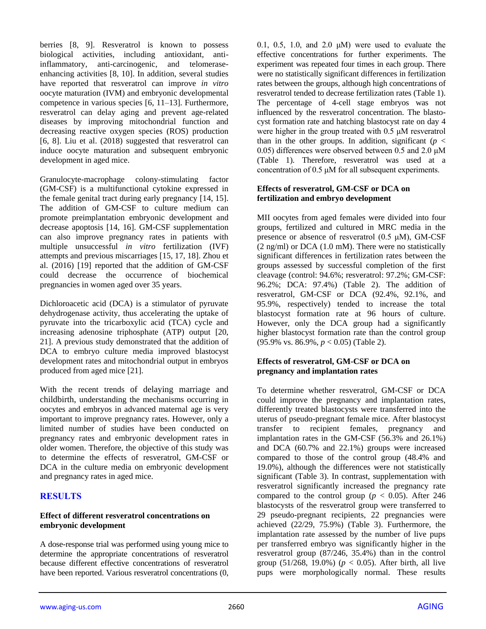berries [8, 9]. Resveratrol is known to possess biological activities, including antioxidant, antiinflammatory, anti-carcinogenic, and telomeraseenhancing activities [8, 10]. In addition, several studies have reported that resveratrol can improve *in vitro* oocyte maturation (IVM) and embryonic developmental competence in various species [6, 11–13]. Furthermore, resveratrol can delay aging and prevent age-related diseases by improving mitochondrial function and decreasing reactive oxygen species (ROS) production [6, 8]. Liu et al. (2018) suggested that resveratrol can induce oocyte maturation and subsequent embryonic development in aged mice.

Granulocyte-macrophage colony-stimulating factor (GM-CSF) is a multifunctional cytokine expressed in the female genital tract during early pregnancy [14, 15]. The addition of GM-CSF to culture medium can promote preimplantation embryonic development and decrease apoptosis [14, 16]. GM-CSF supplementation can also improve pregnancy rates in patients with multiple unsuccessful *in vitro* fertilization (IVF) attempts and previous miscarriages [15, 17, 18]. Zhou et al. (2016) [19] reported that the addition of GM-CSF could decrease the occurrence of biochemical pregnancies in women aged over 35 years.

Dichloroacetic acid (DCA) is a stimulator of pyruvate dehydrogenase activity, thus accelerating the uptake of pyruvate into the tricarboxylic acid (TCA) cycle and increasing adenosine triphosphate (ATP) output [20, 21]. A previous study demonstrated that the addition of DCA to embryo culture media improved blastocyst development rates and mitochondrial output in embryos produced from aged mice [21].

With the recent trends of delaying marriage and childbirth, understanding the mechanisms occurring in oocytes and embryos in advanced maternal age is very important to improve pregnancy rates. However, only a limited number of studies have been conducted on pregnancy rates and embryonic development rates in older women. Therefore, the objective of this study was to determine the effects of resveratrol, GM-CSF or DCA in the culture media on embryonic development and pregnancy rates in aged mice.

# **RESULTS**

#### **Effect of different resveratrol concentrations on embryonic development**

A dose-response trial was performed using young mice to determine the appropriate concentrations of resveratrol because different effective concentrations of resveratrol have been reported. Various resveratrol concentrations (0, 0.1, 0.5, 1.0, and 2.0  $\mu$ M) were used to evaluate the effective concentrations for further experiments. The experiment was repeated four times in each group. There were no statistically significant differences in fertilization rates between the groups, although high concentrations of resveratrol tended to decrease fertilization rates (Table 1). The percentage of 4-cell stage embryos was not influenced by the resveratrol concentration. The blastocyst formation rate and hatching blastocyst rate on day 4 were higher in the group treated with 0.5 μM resveratrol than in the other groups. In addition, significant ( $p <$ 0.05) differences were observed between 0.5 and 2.0 μM (Table 1). Therefore, resveratrol was used at a concentration of 0.5 μM for all subsequent experiments.

#### **Effects of resveratrol, GM-CSF or DCA on fertilization and embryo development**

MII oocytes from aged females were divided into four groups, fertilized and cultured in MRC media in the presence or absence of resveratrol (0.5 μM), GM-CSF (2 ng/ml) or DCA (1.0 mM). There were no statistically significant differences in fertilization rates between the groups assessed by successful completion of the first cleavage (control: 94.6%; resveratrol: 97.2%; GM-CSF: 96.2%; DCA: 97.4%) (Table 2). The addition of resveratrol, GM-CSF or DCA (92.4%, 92.1%, and 95.9%, respectively) tended to increase the total blastocyst formation rate at 96 hours of culture. However, only the DCA group had a significantly higher blastocyst formation rate than the control group (95.9% vs. 86.9%, *p* < 0.05) (Table 2).

## **Effects of resveratrol, GM-CSF or DCA on pregnancy and implantation rates**

To determine whether resveratrol, GM-CSF or DCA could improve the pregnancy and implantation rates, differently treated blastocysts were transferred into the uterus of pseudo-pregnant female mice. After blastocyst transfer to recipient females, pregnancy and implantation rates in the GM-CSF (56.3% and 26.1%) and DCA (60.7% and 22.1%) groups were increased compared to those of the control group (48.4% and 19.0%), although the differences were not statistically significant (Table 3). In contrast, supplementation with resveratrol significantly increased the pregnancy rate compared to the control group ( $p < 0.05$ ). After 246 blastocysts of the resveratrol group were transferred to 29 pseudo-pregnant recipients, 22 pregnancies were achieved (22/29, 75.9%) (Table 3). Furthermore, the implantation rate assessed by the number of live pups per transferred embryo was significantly higher in the resveratrol group (87/246, 35.4%) than in the control group (51/268, 19.0%) ( $p < 0.05$ ). After birth, all live pups were morphologically normal. These results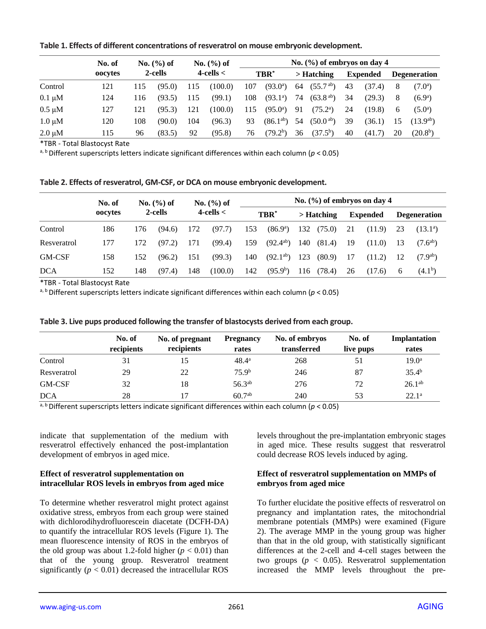|             | No. of<br>oocytes | No. (%) of<br>2-cells |        | No. $(\% )$ of<br>$4$ -cells $<$ |         | No. $(\% )$ of embryos on day 4 |                       |            |                  |                 |        |                     |                      |
|-------------|-------------------|-----------------------|--------|----------------------------------|---------|---------------------------------|-----------------------|------------|------------------|-----------------|--------|---------------------|----------------------|
|             |                   |                       |        |                                  |         | TBR <sup>*</sup>                |                       | > Hatching |                  | <b>Expended</b> |        | <b>Degeneration</b> |                      |
| Control     | 121               | 115                   | (95.0) | 115                              | (100.0) | 107                             | $(93.0^a)$            | 64         | $(55.7^{ab})$    | 43              | (37.4) | 8                   | $(7.0^a)$            |
| $0.1 \mu M$ | 124               | 116                   | (93.5) | 115                              | (99.1)  | 108                             | $(93.1^{\circ})$      | 74         | $(63.8^{ab})$    | 34              | (29.3) | 8                   | $(6.9^a)$            |
| $0.5 \mu M$ | 127               | 121                   | (95.3) | 121                              | (100.0) | 115                             | $(95.0)$ <sup>a</sup> | 91         | $(75.2^{\rm a})$ | 24              | (19.8) | 6                   | $(5.0^a)$            |
| $1.0 \mu M$ | 120               | 108                   | (90.0) | 104                              | (96.3)  | 93                              | $(86.1^{ab})$         | 54         | $(50.0^{ab})$    | 39              | (36.1) | 15                  | $(13.9^{ab})$        |
| $2.0 \mu M$ | 115               | 96                    | (83.5) | 92                               | (95.8)  | 76                              | (79.2 <sup>b</sup> )  | 36         | $(37.5^b)$       | 40              | (41.7) | 20                  | (20.8 <sup>b</sup> ) |

**Table 1. Effects of different concentrations of resveratrol on mouse embryonic development.**

\*TBR - Total Blastocyst Rate

a, b Different superscripts letters indicate significant differences within each column (*p* < 0.05)

| Table 2. Effects of resveratrol, GM-CSF, or DCA on mouse embryonic development. |  |  |
|---------------------------------------------------------------------------------|--|--|
|---------------------------------------------------------------------------------|--|--|

|               | No. of  | No. $(\% )$ of<br>2-cells |        | No. $(\% )$ of<br>$4$ -cells $<$ |         | No. $(\% )$ of embryos on day 4 |                      |            |        |                 |        |                     |                     |
|---------------|---------|---------------------------|--------|----------------------------------|---------|---------------------------------|----------------------|------------|--------|-----------------|--------|---------------------|---------------------|
|               | oocytes |                           |        |                                  |         | TBR*                            |                      | > Hatching |        | <b>Expended</b> |        | <b>Degeneration</b> |                     |
| Control       | 186     | 176                       | (94.6) | 172                              | (97.7)  | 153                             | (86.9)               | 132        | (75.0) | 21              | (11.9) | 23                  | $(13.1^a)$          |
| Resveratrol   | 177     | 172                       | (97.2) | 171                              | (99.4)  | 159                             | $(92.4^{ab})$        | 140        | (81.4) | 19              | (11.0) | 13                  | $(7.6^{a}$          |
| <b>GM-CSF</b> | 158     | 152                       | (96.2) | 151                              | (99.3)  | 140                             | $(92.1^{ab})$        | 123        | (80.9) | 17              | (11.2) | 12                  | $(7.9^{ab})$        |
| <b>DCA</b>    | 152     | 148                       | (97.4) | 148                              | (100.0) | 142                             | (95.9 <sup>b</sup> ) | 116        | (78.4) | 26              | (17.6) | 6                   | (4.1 <sup>b</sup> ) |

\*TBR - Total Blastocyst Rate

a, b Different superscripts letters indicate significant differences within each column (*p* < 0.05)

|             | No. of<br>recipients | No. of pregnant<br>recipients | <b>Pregnancy</b><br>rates | No. of embryos<br>transferred | No. of<br>live pups | Implantation<br>rates |
|-------------|----------------------|-------------------------------|---------------------------|-------------------------------|---------------------|-----------------------|
| Control     | 31                   |                               | $48.4^{\circ}$            | 268                           |                     | $19.0^{\rm a}$        |
| Resveratrol | 29                   | 22                            | 75.9 <sup>b</sup>         | 246                           | 87                  | 35.4 <sup>b</sup>     |
| GM-CSF      | 32                   | 18                            | $56.3^{ab}$               | 276                           | 72                  | 26.1 <sup>ab</sup>    |
| <b>DCA</b>  | 28                   |                               | $60.7^{ab}$               | 240                           | 53                  | $22.1^a$              |

**Table 3. Live pups produced following the transfer of blastocysts derived from each group.**

a, b Different superscripts letters indicate significant differences within each column (*p* < 0.05)

indicate that supplementation of the medium with resveratrol effectively enhanced the post-implantation development of embryos in aged mice.

## **Effect of resveratrol supplementation on intracellular ROS levels in embryos from aged mice**

To determine whether resveratrol might protect against oxidative stress, embryos from each group were stained with dichlorodihydrofluorescein diacetate (DCFH-DA) to quantify the intracellular ROS levels (Figure 1). The mean fluorescence intensity of ROS in the embryos of the old group was about 1.2-fold higher  $(p < 0.01)$  than that of the young group. Resveratrol treatment significantly  $(p < 0.01)$  decreased the intracellular ROS levels throughout the pre-implantation embryonic stages in aged mice. These results suggest that resveratrol could decrease ROS levels induced by aging.

## **Effect of resveratrol supplementation on MMPs of embryos from aged mice**

To further elucidate the positive effects of resveratrol on pregnancy and implantation rates, the mitochondrial membrane potentials (MMPs) were examined (Figure 2). The average MMP in the young group was higher than that in the old group, with statistically significant differences at the 2-cell and 4-cell stages between the two groups ( $p < 0.05$ ). Resveratrol supplementation increased the MMP levels throughout the pre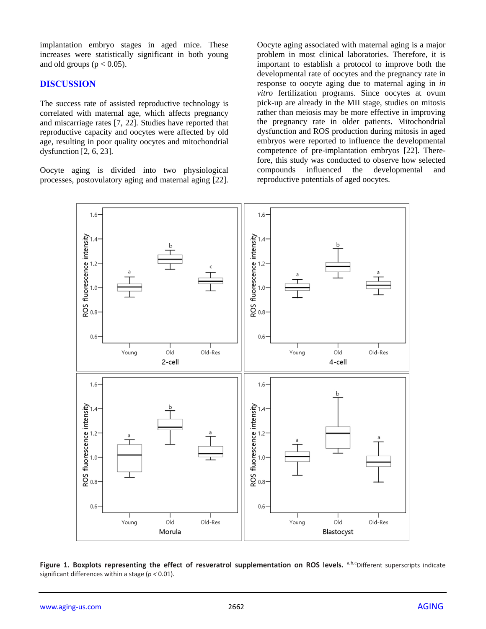implantation embryo stages in aged mice. These increases were statistically significant in both young and old groups ( $p < 0.05$ ).

## **DISCUSSION**

The success rate of assisted reproductive technology is correlated with maternal age, which affects pregnancy and miscarriage rates [7, 22]. Studies have reported that reproductive capacity and oocytes were affected by old age, resulting in poor quality oocytes and mitochondrial dysfunction [2, 6, 23].

Oocyte aging is divided into two physiological processes, postovulatory aging and maternal aging [22].

Oocyte aging associated with maternal aging is a major problem in most clinical laboratories. Therefore, it is important to establish a protocol to improve both the developmental rate of oocytes and the pregnancy rate in response to oocyte aging due to maternal aging in *in vitro* fertilization programs. Since oocytes at ovum pick-up are already in the MII stage, studies on mitosis rather than meiosis may be more effective in improving the pregnancy rate in older patients. Mitochondrial dysfunction and ROS production during mitosis in aged embryos were reported to influence the developmental competence of pre-implantation embryos [22]. Therefore, this study was conducted to observe how selected compounds influenced the developmental and reproductive potentials of aged oocytes.



Figure 1. Boxplots representing the effect of resveratrol supplementation on ROS levels. <sup>a,b,c</sup>Different superscripts indicate significant differences within a stage (*p <* 0.01).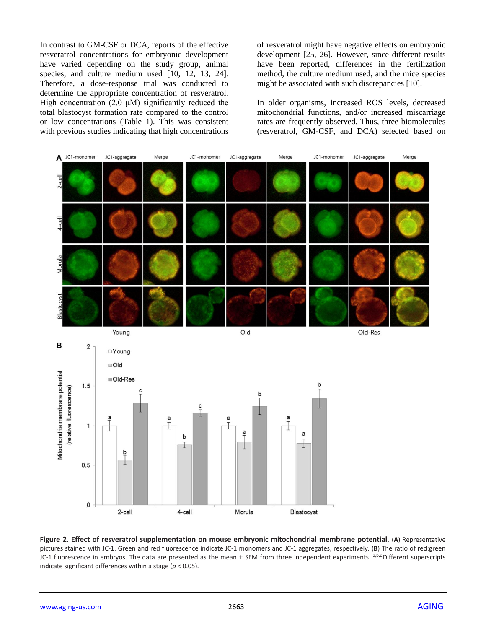In contrast to GM-CSF or DCA, reports of the effective resveratrol concentrations for embryonic development have varied depending on the study group, animal species, and culture medium used [10, 12, 13, 24]. Therefore, a dose-response trial was conducted to determine the appropriate concentration of resveratrol. High concentration (2.0  $\mu$ M) significantly reduced the total blastocyst formation rate compared to the control or low concentrations (Table 1). This was consistent with previous studies indicating that high concentrations of resveratrol might have negative effects on embryonic development [25, 26]. However, since different results have been reported, differences in the fertilization method, the culture medium used, and the mice species might be associated with such discrepancies [10].

In older organisms, increased ROS levels, decreased mitochondrial functions, and/or increased miscarriage rates are frequently observed. Thus, three biomolecules (resveratrol, GM-CSF, and DCA) selected based on



**Figure 2. Effect of resveratrol supplementation on mouse embryonic mitochondrial membrane potential.** (**A**) Representative pictures stained with JC-1. Green and red fluorescence indicate JC-1 monomers and JC-1 aggregates, respectively. (**B**) The ratio of red:green JC-1 fluorescence in embryos. The data are presented as the mean  $\pm$  SEM from three independent experiments. a,b,c Different superscripts indicate significant differences within a stage (*p <* 0.05).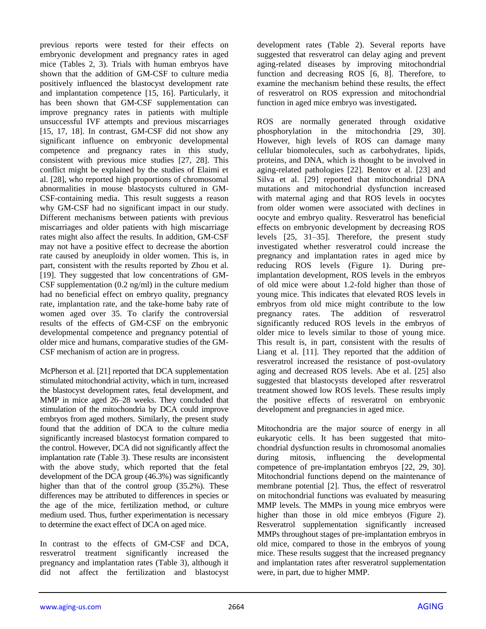previous reports were tested for their effects on embryonic development and pregnancy rates in aged mice (Tables 2, 3). Trials with human embryos have shown that the addition of GM-CSF to culture media positively influenced the blastocyst development rate and implantation competence [15, 16]. Particularly, it has been shown that GM-CSF supplementation can improve pregnancy rates in patients with multiple unsuccessful IVF attempts and previous miscarriages [15, 17, 18]. In contrast, GM-CSF did not show any significant influence on embryonic developmental competence and pregnancy rates in this study, consistent with previous mice studies [27, 28]. This conflict might be explained by the studies of Elaimi et al. [28], who reported high proportions of chromosomal abnormalities in mouse blastocysts cultured in GM-CSF-containing media. This result suggests a reason why GM-CSF had no significant impact in our study. Different mechanisms between patients with previous miscarriages and older patients with high miscarriage rates might also affect the results. In addition, GM-CSF may not have a positive effect to decrease the abortion rate caused by aneuploidy in older women. This is, in part, consistent with the results reported by Zhou et al. [19]. They suggested that low concentrations of GM-CSF supplementation  $(0.2 \text{ ng/ml})$  in the culture medium had no beneficial effect on embryo quality, pregnancy rate, implantation rate, and the take-home baby rate of women aged over 35. To clarify the controversial results of the effects of GM-CSF on the embryonic developmental competence and pregnancy potential of older mice and humans, comparative studies of the GM-CSF mechanism of action are in progress.

McPherson et al. [21] reported that DCA supplementation stimulated mitochondrial activity, which in turn, increased the blastocyst development rates, fetal development, and MMP in mice aged 26–28 weeks. They concluded that stimulation of the mitochondria by DCA could improve embryos from aged mothers. Similarly, the present study found that the addition of DCA to the culture media significantly increased blastocyst formation compared to the control. However, DCA did not significantly affect the implantation rate (Table 3). These results are inconsistent with the above study, which reported that the fetal development of the DCA group (46.3%) was significantly higher than that of the control group (35.2%). These differences may be attributed to differences in species or the age of the mice, fertilization method, or culture medium used. Thus, further experimentation is necessary to determine the exact effect of DCA on aged mice.

In contrast to the effects of GM-CSF and DCA, resveratrol treatment significantly increased the pregnancy and implantation rates (Table 3), although it did not affect the fertilization and blastocyst development rates (Table 2). Several reports have suggested that resveratrol can delay aging and prevent aging-related diseases by improving mitochondrial function and decreasing ROS [6, 8]. Therefore, to examine the mechanism behind these results, the effect of resveratrol on ROS expression and mitochondrial function in aged mice embryo was investigated**.** 

ROS are normally generated through oxidative phosphorylation in the mitochondria [29, 30]. However, high levels of ROS can damage many cellular biomolecules, such as carbohydrates, lipids, proteins, and DNA, which is thought to be involved in aging-related pathologies [22]. Bentov et al. [23] and Silva et al. [29] reported that mitochondrial DNA mutations and mitochondrial dysfunction increased with maternal aging and that ROS levels in oocytes from older women were associated with declines in oocyte and embryo quality. Resveratrol has beneficial effects on embryonic development by decreasing ROS levels [25, 31–35]. Therefore, the present study investigated whether resveratrol could increase the pregnancy and implantation rates in aged mice by reducing ROS levels (Figure 1). During preimplantation development, ROS levels in the embryos of old mice were about 1.2-fold higher than those of young mice. This indicates that elevated ROS levels in embryos from old mice might contribute to the low pregnancy rates. The addition of resveratrol significantly reduced ROS levels in the embryos of older mice to levels similar to those of young mice. This result is, in part, consistent with the results of Liang et al. [11]. They reported that the addition of resveratrol increased the resistance of post-ovulatory aging and decreased ROS levels. Abe et al. [25] also suggested that blastocysts developed after resveratrol treatment showed low ROS levels. These results imply the positive effects of resveratrol on embryonic development and pregnancies in aged mice.

Mitochondria are the major source of energy in all eukaryotic cells. It has been suggested that mitochondrial dysfunction results in chromosomal anomalies during mitosis, influencing the developmental competence of pre-implantation embryos [22, 29, 30]. Mitochondrial functions depend on the maintenance of membrane potential [2]. Thus, the effect of resveratrol on mitochondrial functions was evaluated by measuring MMP levels. The MMPs in young mice embryos were higher than those in old mice embryos (Figure 2). Resveratrol supplementation significantly increased MMPs throughout stages of pre-implantation embryos in old mice, compared to those in the embryos of young mice. These results suggest that the increased pregnancy and implantation rates after resveratrol supplementation were, in part, due to higher MMP.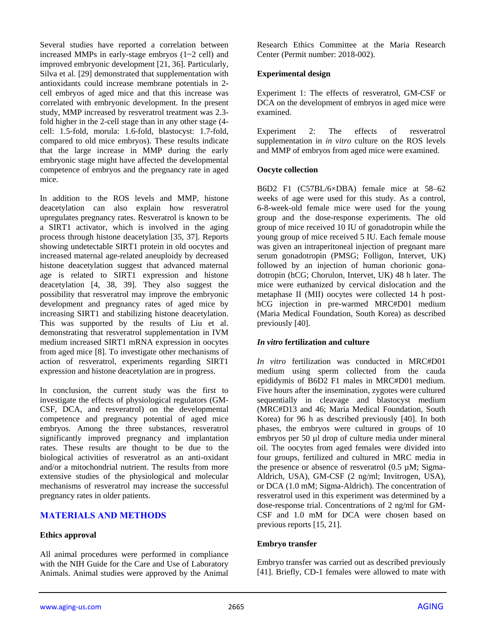Several studies have reported a correlation between increased MMPs in early-stage embryos (1~2 cell) and improved embryonic development [21, 36]. Particularly, Silva et al. [29] demonstrated that supplementation with antioxidants could increase membrane potentials in 2 cell embryos of aged mice and that this increase was correlated with embryonic development. In the present study, MMP increased by resveratrol treatment was 2.3 fold higher in the 2-cell stage than in any other stage (4 cell: 1.5-fold, morula: 1.6-fold, blastocyst: 1.7-fold, compared to old mice embryos). These results indicate that the large increase in MMP during the early embryonic stage might have affected the developmental competence of embryos and the pregnancy rate in aged mice.

In addition to the ROS levels and MMP, histone deacetylation can also explain how resveratrol upregulates pregnancy rates. Resveratrol is known to be a SIRT1 activator, which is involved in the aging process through histone deacetylation [35, 37]. Reports showing undetectable SIRT1 protein in old oocytes and increased maternal age-related aneuploidy by decreased histone deacetylation suggest that advanced maternal age is related to SIRT1 expression and histone deacetylation [4, 38, 39]. They also suggest the possibility that resveratrol may improve the embryonic development and pregnancy rates of aged mice by increasing SIRT1 and stabilizing histone deacetylation. This was supported by the results of Liu et al. demonstrating that resveratrol supplementation in IVM medium increased SIRT1 mRNA expression in oocytes from aged mice [8]. To investigate other mechanisms of action of resveratrol, experiments regarding SIRT1 expression and histone deacetylation are in progress.

In conclusion, the current study was the first to investigate the effects of physiological regulators (GM-CSF, DCA, and resveratrol) on the developmental competence and pregnancy potential of aged mice embryos. Among the three substances, resveratrol significantly improved pregnancy and implantation rates. These results are thought to be due to the biological activities of resveratrol as an anti-oxidant and/or a mitochondrial nutrient. The results from more extensive studies of the physiological and molecular mechanisms of resveratrol may increase the successful pregnancy rates in older patients.

# **MATERIALS AND METHODS**

# **Ethics approval**

All animal procedures were performed in compliance with the NIH Guide for the Care and Use of Laboratory Animals. Animal studies were approved by the Animal Research Ethics Committee at the Maria Research Center (Permit number: 2018-002).

## **Experimental design**

Experiment 1: The effects of resveratrol, GM-CSF or DCA on the development of embryos in aged mice were examined.

Experiment 2: The effects of resveratrol supplementation in *in vitro* culture on the ROS levels and MMP of embryos from aged mice were examined.

## **Oocyte collection**

B6D2 F1 (C57BL/6×DBA) female mice at 58–62 weeks of age were used for this study. As a control, 6-8-week-old female mice were used for the young group and the dose-response experiments. The old group of mice received 10 IU of gonadotropin while the young group of mice received 5 IU. Each female mouse was given an intraperitoneal injection of pregnant mare serum gonadotropin (PMSG; Folligon, Intervet, UK) followed by an injection of human chorionic gonadotropin (hCG; Chorulon, Intervet, UK) 48 h later. The mice were euthanized by cervical dislocation and the metaphase II (MII) oocytes were collected 14 h posthCG injection in pre-warmed MRC#D01 medium (Maria Medical Foundation, South Korea) as described previously [40].

## *In vitro* **fertilization and culture**

*In vitro* fertilization was conducted in MRC#D01 medium using sperm collected from the cauda epididymis of B6D2 F1 males in MRC#D01 medium. Five hours after the insemination, zygotes were cultured sequentially in cleavage and blastocyst medium (MRC#D13 and 46; Maria Medical Foundation, South Korea) for 96 h as described previously [40]. In both phases, the embryos were cultured in groups of 10 embryos per 50 µl drop of culture media under mineral oil. The oocytes from aged females were divided into four groups, fertilized and cultured in MRC media in the presence or absence of resveratrol  $(0.5 \mu M)$ ; Sigma-Aldrich, USA), GM-CSF (2 ng/ml; Invitrogen, USA), or DCA (1.0 mM; Sigma-Aldrich). The concentration of resveratrol used in this experiment was determined by a dose-response trial. Concentrations of 2 ng/ml for GM-CSF and 1.0 mM for DCA were chosen based on previous reports [15, 21].

## **Embryo transfer**

Embryo transfer was carried out as described previously [41]. Briefly, CD-1 females were allowed to mate with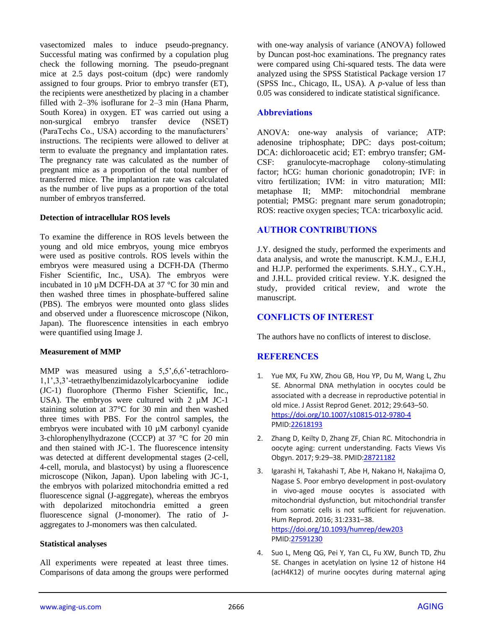vasectomized males to induce pseudo-pregnancy. Successful mating was confirmed by a copulation plug check the following morning. The pseudo-pregnant mice at 2.5 days post-coitum (dpc) were randomly assigned to four groups. Prior to embryo transfer (ET), the recipients were anesthetized by placing in a chamber filled with 2–3% isoflurane for 2–3 min (Hana Pharm, South Korea) in oxygen. ET was carried out using a non-surgical embryo transfer device (NSET) (ParaTechs Co., USA) according to the manufacturers' instructions. The recipients were allowed to deliver at term to evaluate the pregnancy and implantation rates. The pregnancy rate was calculated as the number of pregnant mice as a proportion of the total number of transferred mice. The implantation rate was calculated as the number of live pups as a proportion of the total number of embryos transferred.

#### **Detection of intracellular ROS levels**

To examine the difference in ROS levels between the young and old mice embryos, young mice embryos were used as positive controls. ROS levels within the embryos were measured using a DCFH-DA (Thermo Fisher Scientific, Inc., USA). The embryos were incubated in 10 µM DCFH-DA at 37 °C for 30 min and then washed three times in phosphate-buffered saline (PBS). The embryos were mounted onto glass slides and observed under a fluorescence microscope (Nikon, Japan). The fluorescence intensities in each embryo were quantified using Image J.

## **Measurement of MMP**

MMP was measured using a 5,5',6,6'-tetrachloro-1,1',3,3'-tetraethylbenzimidazolylcarbocyanine iodide (JC-1) fluorophore (Thermo Fisher Scientific, Inc., USA). The embryos were cultured with  $2 \mu M$  JC-1 staining solution at 37°C for 30 min and then washed three times with PBS. For the control samples, the embryos were incubated with 10  $\mu$ M carbonyl cyanide 3-chlorophenylhydrazone (CCCP) at 37 °C for 20 min and then stained with JC-1. The fluorescence intensity was detected at different developmental stages (2-cell, 4-cell, morula, and blastocyst) by using a fluorescence microscope (Nikon, Japan). Upon labeling with JC-1, the embryos with polarized mitochondria emitted a red fluorescence signal (J-aggregate), whereas the embryos with depolarized mitochondria emitted a green fluorescence signal (J-monomer). The ratio of Jaggregates to J-monomers was then calculated.

#### **Statistical analyses**

All experiments were repeated at least three times. Comparisons of data among the groups were performed with one-way analysis of variance (ANOVA) followed by Duncan post-hoc examinations. The pregnancy rates were compared using Chi-squared tests. The data were analyzed using the SPSS Statistical Package version 17 (SPSS Inc., Chicago, IL, USA). A *p*-value of less than 0.05 was considered to indicate statistical significance.

## **Abbreviations**

ANOVA: one-way analysis of variance; ATP: adenosine triphosphate; DPC: days post-coitum; DCA: dichloroacetic acid; ET: embryo transfer; GM-CSF: granulocyte-macrophage colony-stimulating factor; hCG: human chorionic gonadotropin; IVF: in vitro fertilization; IVM: in vitro maturation; MII: metaphase II; MMP: mitochondrial membrane potential; PMSG: pregnant mare serum gonadotropin; ROS: reactive oxygen species; TCA: tricarboxylic acid.

## **AUTHOR CONTRIBUTIONS**

J.Y. designed the study, performed the experiments and data analysis, and wrote the manuscript. K.M.J., E.H.J, and H.J.P. performed the experiments. S.H.Y., C.Y.H., and J.H.L. provided critical review. Y.K. designed the study, provided critical review, and wrote the manuscript.

## **CONFLICTS OF INTEREST**

The authors have no conflicts of interest to disclose.

## **REFERENCES**

- 1. Yue MX, Fu XW, Zhou GB, Hou YP, Du M, Wang L, Zhu SE. Abnormal DNA methylation in oocytes could be associated with a decrease in reproductive potential in old mice. J Assist Reprod Genet. 2012; 29:643–50. <https://doi.org/10.1007/s10815-012-9780-4> PMI[D:22618193](https://www.ncbi.nlm.nih.gov/pubmed/22618193)
- 2. Zhang D, Keilty D, Zhang ZF, Chian RC. Mitochondria in oocyte aging: current understanding. Facts Views Vis Obgyn. 2017; 9:29–38. PMI[D:28721182](https://www.ncbi.nlm.nih.gov/pubmed/28721182)
- 3. Igarashi H, Takahashi T, Abe H, Nakano H, Nakajima O, Nagase S. Poor embryo development in post-ovulatory in vivo-aged mouse oocytes is associated with mitochondrial dysfunction, but mitochondrial transfer from somatic cells is not sufficient for rejuvenation. Hum Reprod. 2016; 31:2331–38. <https://doi.org/10.1093/humrep/dew203> PMI[D:27591230](https://www.ncbi.nlm.nih.gov/pubmed/27591230)
- 4. Suo L, Meng QG, Pei Y, Yan CL, Fu XW, Bunch TD, Zhu SE. Changes in acetylation on lysine 12 of histone H4 (acH4K12) of murine oocytes during maternal aging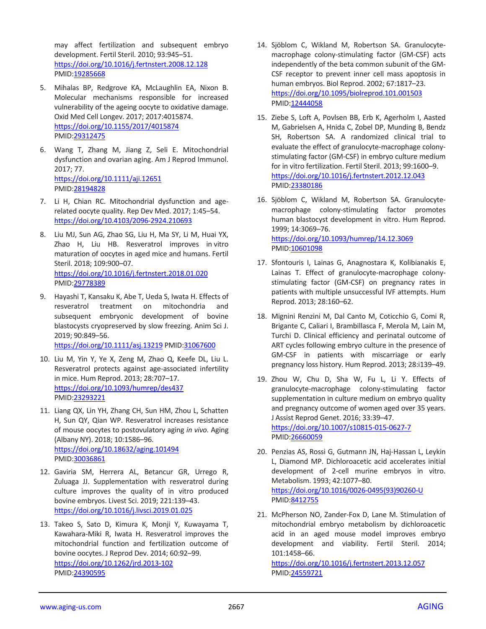may affect fertilization and subsequent embryo development. Fertil Steril. 2010; 93:945–51. <https://doi.org/10.1016/j.fertnstert.2008.12.128> PMID[:19285668](https://www.ncbi.nlm.nih.gov/pubmed/19285668)

- 5. Mihalas BP, Redgrove KA, McLaughlin EA, Nixon B. Molecular mechanisms responsible for increased vulnerability of the ageing oocyte to oxidative damage. Oxid Med Cell Longev. 2017; 2017:4015874. <https://doi.org/10.1155/2017/4015874> PMID[:29312475](https://www.ncbi.nlm.nih.gov/pubmed/29312475)
- 6. Wang T, Zhang M, Jiang Z, Seli E. Mitochondrial dysfunction and ovarian aging. Am J Reprod Immunol. 2017; 77. <https://doi.org/10.1111/aji.12651> PMID[:28194828](https://www.ncbi.nlm.nih.gov/pubmed/28194828)
- 7. Li H, Chian RC. Mitochondrial dysfunction and agerelated oocyte quality. Rep Dev Med. 2017; 1:45–54. <https://doi.org/10.4103/2096-2924.210693>
- 8. Liu MJ, Sun AG, Zhao SG, Liu H, Ma SY, Li M, Huai YX, Zhao H, Liu HB. Resveratrol improves in vitro maturation of oocytes in aged mice and humans. Fertil Steril. 2018; 109:900–07. <https://doi.org/10.1016/j.fertnstert.2018.01.020> PMID[:29778389](https://www.ncbi.nlm.nih.gov/pubmed/29778389)
- 9. Hayashi T, Kansaku K, Abe T, Ueda S, Iwata H. Effects of resveratrol treatment on mitochondria and subsequent embryonic development of bovine blastocysts cryopreserved by slow freezing. Anim Sci J. 2019; 90:849–56. <https://doi.org/10.1111/asj.13219> PMID[:31067600](https://www.ncbi.nlm.nih.gov/pubmed/31067600)
- 10. Liu M, Yin Y, Ye X, Zeng M, Zhao Q, Keefe DL, Liu L. Resveratrol protects against age-associated infertility in mice. Hum Reprod. 2013; 28:707–17. <https://doi.org/10.1093/humrep/des437> PMID[:23293221](https://www.ncbi.nlm.nih.gov/pubmed/23293221)
- 11. Liang QX, Lin YH, Zhang CH, Sun HM, Zhou L, Schatten H, Sun QY, Qian WP. Resveratrol increases resistance of mouse oocytes to postovulatory aging *in vivo.* Aging (Albany NY). 2018; 10:1586–96. <https://doi.org/10.18632/aging.101494> PMID[:30036861](https://www.ncbi.nlm.nih.gov/pubmed/30036861)
- 12. Gaviria SM, Herrera AL, Betancur GR, Urrego R, Zuluaga JJ. Supplementation with resveratrol during culture improves the quality of in vitro produced bovine embryos. Livest Sci. 2019; 221:139–43. <https://doi.org/10.1016/j.livsci.2019.01.025>
- 13. Takeo S, Sato D, Kimura K, Monji Y, Kuwayama T, Kawahara-Miki R, Iwata H. Resveratrol improves the mitochondrial function and fertilization outcome of bovine oocytes. J Reprod Dev. 2014; 60:92–99. <https://doi.org/10.1262/jrd.2013-102> PMID[:24390595](https://www.ncbi.nlm.nih.gov/pubmed/24390595)
- 14. Sjöblom C, Wikland M, Robertson SA. Granulocytemacrophage colony-stimulating factor (GM-CSF) acts independently of the beta common subunit of the GM-CSF receptor to prevent inner cell mass apoptosis in human embryos. Biol Reprod. 2002; 67:1817–23. <https://doi.org/10.1095/biolreprod.101.001503> PMI[D:12444058](https://www.ncbi.nlm.nih.gov/pubmed/12444058)
- 15. Ziebe S, Loft A, Povlsen BB, Erb K, Agerholm I, Aasted M, Gabrielsen A, Hnida C, Zobel DP, Munding B, Bendz SH, Robertson SA. A randomized clinical trial to evaluate the effect of granulocyte-macrophage colonystimulating factor (GM-CSF) in embryo culture medium for in vitro fertilization. Fertil Steril. 2013; 99:1600–9. <https://doi.org/10.1016/j.fertnstert.2012.12.043> PMI[D:23380186](https://www.ncbi.nlm.nih.gov/pubmed/23380186)
- 16. Sjöblom C, Wikland M, Robertson SA. Granulocytemacrophage colony-stimulating factor promotes human blastocyst development in vitro. Hum Reprod. 1999; 14:3069–76. <https://doi.org/10.1093/humrep/14.12.3069> PMI[D:10601098](https://www.ncbi.nlm.nih.gov/pubmed/10601098)
- 17. Sfontouris I, Lainas G, Anagnostara K, Kolibianakis E, Lainas T. Effect of granulocyte-macrophage colonystimulating factor (GM-CSF) on pregnancy rates in patients with multiple unsuccessful IVF attempts. Hum Reprod. 2013; 28:160–62.
- 18. Mignini Renzini M, Dal Canto M, Coticchio G, Comi R, Brigante C, Caliari I, Brambillasca F, Merola M, Lain M, Turchi D. Clinical efficiency and perinatal outcome of ART cycles following embryo culture in the presence of GM-CSF in patients with miscarriage or early pregnancy loss history. Hum Reprod. 2013; 28:i139–49.
- 19. Zhou W, Chu D, Sha W, Fu L, Li Y. Effects of granulocyte-macrophage colony-stimulating factor supplementation in culture medium on embryo quality and pregnancy outcome of women aged over 35 years. J Assist Reprod Genet. 2016; 33:39–47. <https://doi.org/10.1007/s10815-015-0627-7> PMI[D:26660059](https://www.ncbi.nlm.nih.gov/pubmed/26660059)
- 20. Penzias AS, Rossi G, Gutmann JN, Haj-Hassan L, Leykin L, Diamond MP. Dichloroacetic acid accelerates initial development of 2-cell murine embryos in vitro. Metabolism. 1993; 42:1077–80. [https://doi.org/10.1016/0026-0495\(93\)90260-U](https://doi.org/10.1016/0026-0495%2893%2990260-U) PMI[D:8412755](https://www.ncbi.nlm.nih.gov/pubmed/8412755)
- 21. McPherson NO, Zander-Fox D, Lane M. Stimulation of mitochondrial embryo metabolism by dichloroacetic acid in an aged mouse model improves embryo development and viability. Fertil Steril. 2014; 101:1458–66.

<https://doi.org/10.1016/j.fertnstert.2013.12.057> PMI[D:24559721](https://www.ncbi.nlm.nih.gov/pubmed/24559721)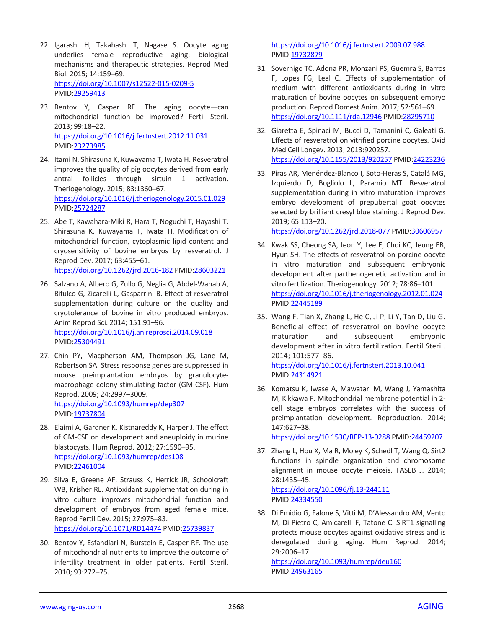- 22. Igarashi H, Takahashi T, Nagase S. Oocyte aging underlies female reproductive aging: biological mechanisms and therapeutic strategies. Reprod Med Biol. 2015; 14:159–69. <https://doi.org/10.1007/s12522-015-0209-5> PMID[:29259413](https://www.ncbi.nlm.nih.gov/pubmed/29259413)
- 23. Bentov Y, Casper RF. The aging oocyte—can mitochondrial function be improved? Fertil Steril. 2013; 99:18–22. <https://doi.org/10.1016/j.fertnstert.2012.11.031> PMID[:23273985](https://www.ncbi.nlm.nih.gov/pubmed/23273985)
- 24. Itami N, Shirasuna K, Kuwayama T, Iwata H. Resveratrol improves the quality of pig oocytes derived from early antral follicles through sirtuin 1 activation. Theriogenology. 2015; 83:1360–67. <https://doi.org/10.1016/j.theriogenology.2015.01.029> PMID[:25724287](https://www.ncbi.nlm.nih.gov/pubmed/25724287)
- 25. Abe T, Kawahara-Miki R, Hara T, Noguchi T, Hayashi T, Shirasuna K, Kuwayama T, Iwata H. Modification of mitochondrial function, cytoplasmic lipid content and cryosensitivity of bovine embryos by resveratrol. J Reprod Dev. 2017; 63:455–61. <https://doi.org/10.1262/jrd.2016-182> PMI[D:28603221](https://www.ncbi.nlm.nih.gov/pubmed/28603221)
- 26. Salzano A, Albero G, Zullo G, Neglia G, Abdel-Wahab A, Bifulco G, Zicarelli L, Gasparrini B. Effect of resveratrol supplementation during culture on the quality and cryotolerance of bovine in vitro produced embryos. Anim Reprod Sci. 2014; 151:91–96. <https://doi.org/10.1016/j.anireprosci.2014.09.018> PMID[:25304491](https://www.ncbi.nlm.nih.gov/pubmed/25304491)
- 27. Chin PY, Macpherson AM, Thompson JG, Lane M, Robertson SA. Stress response genes are suppressed in mouse preimplantation embryos by granulocytemacrophage colony-stimulating factor (GM-CSF). Hum Reprod. 2009; 24:2997–3009. <https://doi.org/10.1093/humrep/dep307> PMID[:19737804](https://www.ncbi.nlm.nih.gov/pubmed/19737804)
- 28. Elaimi A, Gardner K, Kistnareddy K, Harper J. The effect of GM-CSF on development and aneuploidy in murine blastocysts. Hum Reprod. 2012; 27:1590–95. <https://doi.org/10.1093/humrep/des108> PMID[:22461004](https://www.ncbi.nlm.nih.gov/pubmed/22461004)
- 29. Silva E, Greene AF, Strauss K, Herrick JR, Schoolcraft WB, Krisher RL. Antioxidant supplementation during in vitro culture improves mitochondrial function and development of embryos from aged female mice. Reprod Fertil Dev. 2015; 27:975–83. <https://doi.org/10.1071/RD14474> PMID[:25739837](https://www.ncbi.nlm.nih.gov/pubmed/25739837)
- 30. Bentov Y, Esfandiari N, Burstein E, Casper RF. The use of mitochondrial nutrients to improve the outcome of infertility treatment in older patients. Fertil Steril. 2010; 93:272–75.

<https://doi.org/10.1016/j.fertnstert.2009.07.988> PMI[D:19732879](https://www.ncbi.nlm.nih.gov/pubmed/19732879)

- 31. Sovernigo TC, Adona PR, Monzani PS, Guemra S, Barros F, Lopes FG, Leal C. Effects of supplementation of medium with different antioxidants during in vitro maturation of bovine oocytes on subsequent embryo production. Reprod Domest Anim. 2017; 52:561–69. <https://doi.org/10.1111/rda.12946> PMID[:28295710](https://www.ncbi.nlm.nih.gov/pubmed/28295710)
- 32. Giaretta E, Spinaci M, Bucci D, Tamanini C, Galeati G. Effects of resveratrol on vitrified porcine oocytes. Oxid Med Cell Longev. 2013; 2013:920257. <https://doi.org/10.1155/2013/920257> PMID[:24223236](https://www.ncbi.nlm.nih.gov/pubmed/24223236)
- 33. Piras AR, Menéndez-Blanco I, Soto-Heras S, Catalá MG, Izquierdo D, Bogliolo L, Paramio MT. Resveratrol supplementation during in vitro maturation improves embryo development of prepubertal goat oocytes selected by brilliant cresyl blue staining. J Reprod Dev. 2019; 65:113–20.

<https://doi.org/10.1262/jrd.2018-077> PMID[:30606957](https://www.ncbi.nlm.nih.gov/pubmed/30606957)

- 34. Kwak SS, Cheong SA, Jeon Y, Lee E, Choi KC, Jeung EB, Hyun SH. The effects of resveratrol on porcine oocyte in vitro maturation and subsequent embryonic development after parthenogenetic activation and in vitro fertilization. Theriogenology. 2012; 78:86–101. <https://doi.org/10.1016/j.theriogenology.2012.01.024> PMI[D:22445189](https://www.ncbi.nlm.nih.gov/pubmed/22445189)
- 35. Wang F, Tian X, Zhang L, He C, Ji P, Li Y, Tan D, Liu G. Beneficial effect of resveratrol on bovine oocyte maturation and subsequent embryonic development after in vitro fertilization. Fertil Steril. 2014; 101:577–86. <https://doi.org/10.1016/j.fertnstert.2013.10.041>

PMI[D:24314921](https://www.ncbi.nlm.nih.gov/pubmed/24314921) 36. Komatsu K, Iwase A, Mawatari M, Wang J, Yamashita

M, Kikkawa F. Mitochondrial membrane potential in 2 cell stage embryos correlates with the success of preimplantation development. Reproduction. 2014; 147:627–38.

<https://doi.org/10.1530/REP-13-0288> PMID[:24459207](https://www.ncbi.nlm.nih.gov/pubmed/24459207)

37. Zhang L, Hou X, Ma R, Moley K, Schedl T, Wang Q. Sirt2 functions in spindle organization and chromosome alignment in mouse oocyte meiosis. FASEB J. 2014; 28:1435–45.

<https://doi.org/10.1096/fj.13-244111> PMI[D:24334550](https://www.ncbi.nlm.nih.gov/pubmed/24334550)

38. Di Emidio G, Falone S, Vitti M, D'Alessandro AM, Vento M, Di Pietro C, Amicarelli F, Tatone C. SIRT1 signalling protects mouse oocytes against oxidative stress and is deregulated during aging. Hum Reprod. 2014; 29:2006–17.

<https://doi.org/10.1093/humrep/deu160> PMI[D:24963165](https://www.ncbi.nlm.nih.gov/pubmed/24963165)